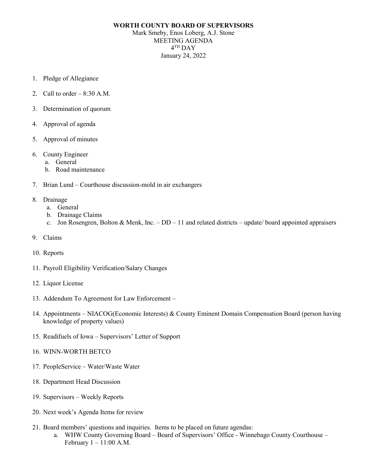## **WORTH COUNTY BOARD OF SUPERVISORS** Mark Smeby, Enos Loberg, A.J. Stone MEETING AGENDA 4TH DAY January 24, 2022

- 1. Pledge of Allegiance
- 2. Call to order  $-8:30$  A.M.
- 3. Determination of quorum
- 4. Approval of agenda
- 5. Approval of minutes
- 6. County Engineer
	- a. General
	- b. Road maintenance
- 7. Brian Lund Courthouse discussion-mold in air exchangers
- 8. Drainage
	- a. General
	- b. Drainage Claims
	- c. Jon Rosengren, Bolton & Menk, Inc. DD 11 and related districts update/ board appointed appraisers
- 9. Claims
- 10. Reports
- 11. Payroll Eligibility Verification/Salary Changes
- 12. Liquor License
- 13. Addendum To Agreement for Law Enforcement –
- 14. Appointments NIACOG(Economic Interests) & County Eminent Domain Compensation Board (person having knowledge of property values)
- 15. Readifuels of Iowa Supervisors' Letter of Support
- 16. WINN-WORTH BETCO
- 17. PeopleService Water/Waste Water
- 18. Department Head Discussion
- 19. Supervisors Weekly Reports
- 20. Next week's Agenda Items for review
- 21. Board members' questions and inquiries. Items to be placed on future agendas:
	- a. WHW County Governing Board Board of Supervisors' Office Winnebago County Courthouse February  $1 - 11:00$  A.M.